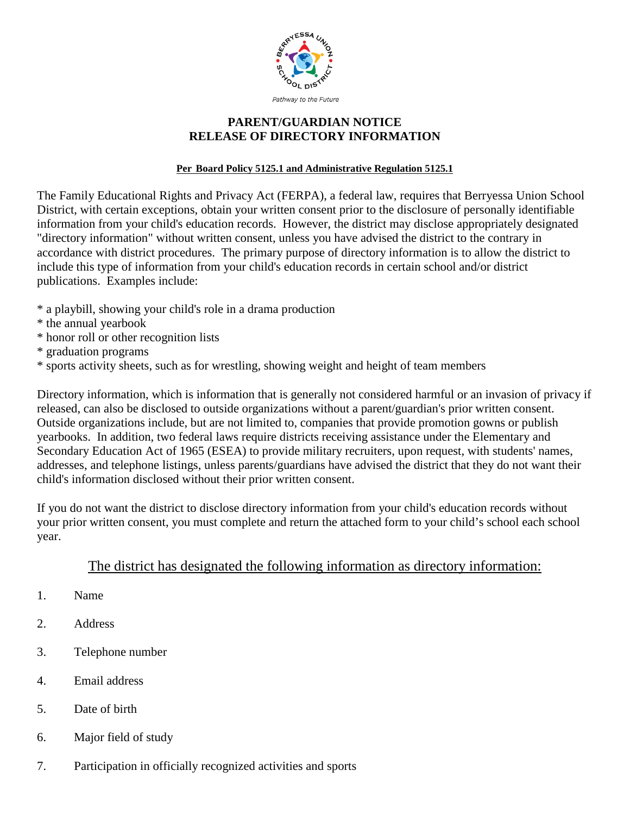

## **PARENT/GUARDIAN NOTICE RELEASE OF DIRECTORY INFORMATION**

## **Per Board Policy 5125.1 and Administrative Regulation 5125.1**

The Family Educational Rights and Privacy Act (FERPA), a federal law, requires that Berryessa Union School District, with certain exceptions, obtain your written consent prior to the disclosure of personally identifiable information from your child's education records. However, the district may disclose appropriately designated "directory information" without written consent, unless you have advised the district to the contrary in accordance with district procedures. The primary purpose of directory information is to allow the district to include this type of information from your child's education records in certain school and/or district publications. Examples include:

- \* a playbill, showing your child's role in a drama production
- \* the annual yearbook
- \* honor roll or other recognition lists
- \* graduation programs
- \* sports activity sheets, such as for wrestling, showing weight and height of team members

Directory information, which is information that is generally not considered harmful or an invasion of privacy if released, can also be disclosed to outside organizations without a parent/guardian's prior written consent. Outside organizations include, but are not limited to, companies that provide promotion gowns or publish yearbooks. In addition, two federal laws require districts receiving assistance under the Elementary and Secondary Education Act of 1965 (ESEA) to provide military recruiters, upon request, with students' names, addresses, and telephone listings, unless parents/guardians have advised the district that they do not want their child's information disclosed without their prior written consent.

If you do not want the district to disclose directory information from your child's education records without your prior written consent, you must complete and return the attached form to your child's school each school year.

## The district has designated the following information as directory information:

- 1. Name
- 2. Address
- 3. Telephone number
- 4. Email address
- 5. Date of birth
- 6. Major field of study
- 7. Participation in officially recognized activities and sports